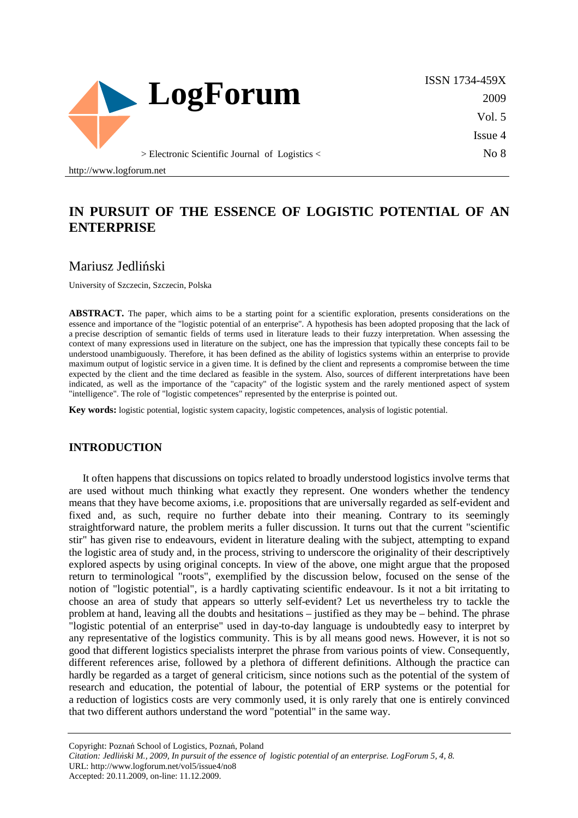

ISSN 1734-459X 2009 Vol. 5 Issue 4 No 8

http://www.logforum.net

# **IN PURSUIT OF THE ESSENCE OF LOGISTIC POTENTIAL OF AN ENTERPRISE**

### Mariusz Jedliński

University of Szczecin, Szczecin, Polska

**ABSTRACT.** The paper, which aims to be a starting point for a scientific exploration, presents considerations on the essence and importance of the "logistic potential of an enterprise". A hypothesis has been adopted proposing that the lack of a precise description of semantic fields of terms used in literature leads to their fuzzy interpretation. When assessing the context of many expressions used in literature on the subject, one has the impression that typically these concepts fail to be understood unambiguously. Therefore, it has been defined as the ability of logistics systems within an enterprise to provide maximum output of logistic service in a given time. It is defined by the client and represents a compromise between the time expected by the client and the time declared as feasible in the system. Also, sources of different interpretations have been indicated, as well as the importance of the "capacity" of the logistic system and the rarely mentioned aspect of system "intelligence". The role of "logistic competences" represented by the enterprise is pointed out.

**Key words:** logistic potential, logistic system capacity, logistic competences, analysis of logistic potential.

#### **INTRODUCTION**

It often happens that discussions on topics related to broadly understood logistics involve terms that are used without much thinking what exactly they represent. One wonders whether the tendency means that they have become axioms, i.e. propositions that are universally regarded as self-evident and fixed and, as such, require no further debate into their meaning. Contrary to its seemingly straightforward nature, the problem merits a fuller discussion. It turns out that the current "scientific stir" has given rise to endeavours, evident in literature dealing with the subject, attempting to expand the logistic area of study and, in the process, striving to underscore the originality of their descriptively explored aspects by using original concepts. In view of the above, one might argue that the proposed return to terminological "roots", exemplified by the discussion below, focused on the sense of the notion of "logistic potential", is a hardly captivating scientific endeavour. Is it not a bit irritating to choose an area of study that appears so utterly self-evident? Let us nevertheless try to tackle the problem at hand, leaving all the doubts and hesitations – justified as they may be – behind. The phrase "logistic potential of an enterprise" used in day-to-day language is undoubtedly easy to interpret by any representative of the logistics community. This is by all means good news. However, it is not so good that different logistics specialists interpret the phrase from various points of view. Consequently, different references arise, followed by a plethora of different definitions. Although the practice can hardly be regarded as a target of general criticism, since notions such as the potential of the system of research and education, the potential of labour, the potential of ERP systems or the potential for a reduction of logistics costs are very commonly used, it is only rarely that one is entirely convinced that two different authors understand the word "potential" in the same way.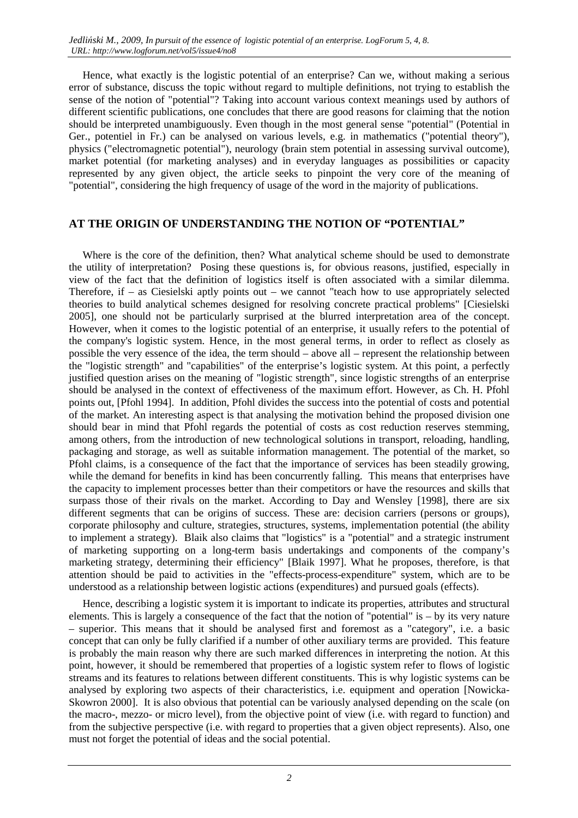Hence, what exactly is the logistic potential of an enterprise? Can we, without making a serious error of substance, discuss the topic without regard to multiple definitions, not trying to establish the sense of the notion of "potential"? Taking into account various context meanings used by authors of different scientific publications, one concludes that there are good reasons for claiming that the notion should be interpreted unambiguously. Even though in the most general sense "potential" (Potential in Ger., potentiel in Fr.) can be analysed on various levels, e.g. in mathematics ("potential theory"), physics ("electromagnetic potential"), neurology (brain stem potential in assessing survival outcome), market potential (for marketing analyses) and in everyday languages as possibilities or capacity represented by any given object, the article seeks to pinpoint the very core of the meaning of "potential", considering the high frequency of usage of the word in the majority of publications.

### **AT THE ORIGIN OF UNDERSTANDING THE NOTION OF "POTENTIAL"**

Where is the core of the definition, then? What analytical scheme should be used to demonstrate the utility of interpretation? Posing these questions is, for obvious reasons, justified, especially in view of the fact that the definition of logistics itself is often associated with a similar dilemma. Therefore, if – as Ciesielski aptly points out – we cannot "teach how to use appropriately selected theories to build analytical schemes designed for resolving concrete practical problems" [Ciesielski 2005], one should not be particularly surprised at the blurred interpretation area of the concept. However, when it comes to the logistic potential of an enterprise, it usually refers to the potential of the company's logistic system. Hence, in the most general terms, in order to reflect as closely as possible the very essence of the idea, the term should – above all – represent the relationship between the "logistic strength" and "capabilities" of the enterprise's logistic system. At this point, a perfectly justified question arises on the meaning of "logistic strength", since logistic strengths of an enterprise should be analysed in the context of effectiveness of the maximum effort. However, as Ch. H. Pfohl points out, [Pfohl 1994]. In addition, Pfohl divides the success into the potential of costs and potential of the market. An interesting aspect is that analysing the motivation behind the proposed division one should bear in mind that Pfohl regards the potential of costs as cost reduction reserves stemming, among others, from the introduction of new technological solutions in transport, reloading, handling, packaging and storage, as well as suitable information management. The potential of the market, so Pfohl claims, is a consequence of the fact that the importance of services has been steadily growing, while the demand for benefits in kind has been concurrently falling. This means that enterprises have the capacity to implement processes better than their competitors or have the resources and skills that surpass those of their rivals on the market. According to Day and Wensley [1998], there are six different segments that can be origins of success. These are: decision carriers (persons or groups), corporate philosophy and culture, strategies, structures, systems, implementation potential (the ability to implement a strategy). Blaik also claims that "logistics" is a "potential" and a strategic instrument of marketing supporting on a long-term basis undertakings and components of the company's marketing strategy, determining their efficiency" [Blaik 1997]. What he proposes, therefore, is that attention should be paid to activities in the "effects-process-expenditure" system, which are to be understood as a relationship between logistic actions (expenditures) and pursued goals (effects).

Hence, describing a logistic system it is important to indicate its properties, attributes and structural elements. This is largely a consequence of the fact that the notion of "potential" is – by its very nature – superior. This means that it should be analysed first and foremost as a "category", i.e. a basic concept that can only be fully clarified if a number of other auxiliary terms are provided. This feature is probably the main reason why there are such marked differences in interpreting the notion. At this point, however, it should be remembered that properties of a logistic system refer to flows of logistic streams and its features to relations between different constituents. This is why logistic systems can be analysed by exploring two aspects of their characteristics, i.e. equipment and operation [Nowicka-Skowron 2000]. It is also obvious that potential can be variously analysed depending on the scale (on the macro-, mezzo- or micro level), from the objective point of view (i.e. with regard to function) and from the subjective perspective (i.e. with regard to properties that a given object represents). Also, one must not forget the potential of ideas and the social potential.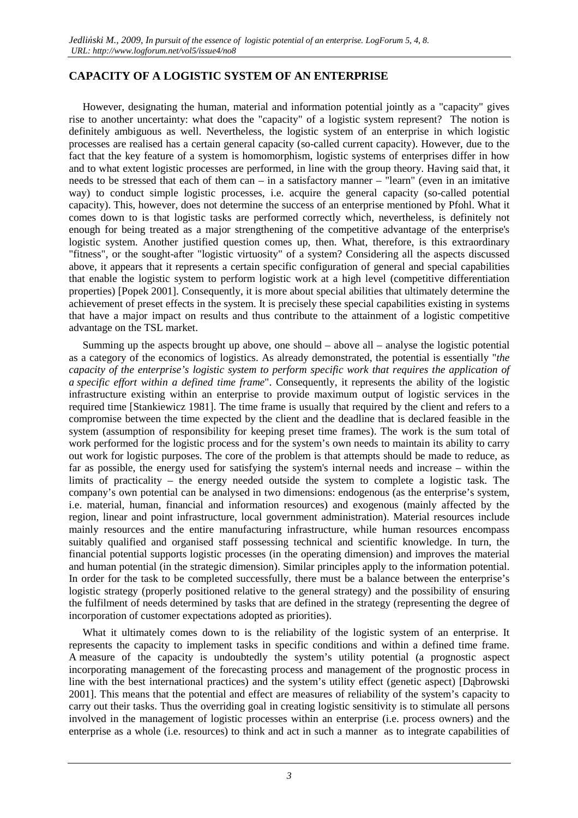### **CAPACITY OF A LOGISTIC SYSTEM OF AN ENTERPRISE**

However, designating the human, material and information potential jointly as a "capacity" gives rise to another uncertainty: what does the "capacity" of a logistic system represent? The notion is definitely ambiguous as well. Nevertheless, the logistic system of an enterprise in which logistic processes are realised has a certain general capacity (so-called current capacity). However, due to the fact that the key feature of a system is homomorphism, logistic systems of enterprises differ in how and to what extent logistic processes are performed, in line with the group theory. Having said that, it needs to be stressed that each of them can – in a satisfactory manner – "learn" (even in an imitative way) to conduct simple logistic processes, i.e. acquire the general capacity (so-called potential capacity). This, however, does not determine the success of an enterprise mentioned by Pfohl. What it comes down to is that logistic tasks are performed correctly which, nevertheless, is definitely not enough for being treated as a major strengthening of the competitive advantage of the enterprise's logistic system. Another justified question comes up, then. What, therefore, is this extraordinary "fitness", or the sought-after "logistic virtuosity" of a system? Considering all the aspects discussed above, it appears that it represents a certain specific configuration of general and special capabilities that enable the logistic system to perform logistic work at a high level (competitive differentiation properties) [Popek 2001]. Consequently, it is more about special abilities that ultimately determine the achievement of preset effects in the system. It is precisely these special capabilities existing in systems that have a major impact on results and thus contribute to the attainment of a logistic competitive advantage on the TSL market.

Summing up the aspects brought up above, one should – above all – analyse the logistic potential as a category of the economics of logistics. As already demonstrated, the potential is essentially "*the capacity of the enterprise's logistic system to perform specific work that requires the application of a specific effort within a defined time frame*". Consequently, it represents the ability of the logistic infrastructure existing within an enterprise to provide maximum output of logistic services in the required time [Stankiewicz 1981]. The time frame is usually that required by the client and refers to a compromise between the time expected by the client and the deadline that is declared feasible in the system (assumption of responsibility for keeping preset time frames). The work is the sum total of work performed for the logistic process and for the system's own needs to maintain its ability to carry out work for logistic purposes. The core of the problem is that attempts should be made to reduce, as far as possible, the energy used for satisfying the system's internal needs and increase – within the limits of practicality – the energy needed outside the system to complete a logistic task. The company's own potential can be analysed in two dimensions: endogenous (as the enterprise's system, i.e. material, human, financial and information resources) and exogenous (mainly affected by the region, linear and point infrastructure, local government administration). Material resources include mainly resources and the entire manufacturing infrastructure, while human resources encompass suitably qualified and organised staff possessing technical and scientific knowledge. In turn, the financial potential supports logistic processes (in the operating dimension) and improves the material and human potential (in the strategic dimension). Similar principles apply to the information potential. In order for the task to be completed successfully, there must be a balance between the enterprise's logistic strategy (properly positioned relative to the general strategy) and the possibility of ensuring the fulfilment of needs determined by tasks that are defined in the strategy (representing the degree of incorporation of customer expectations adopted as priorities).

What it ultimately comes down to is the reliability of the logistic system of an enterprise. It represents the capacity to implement tasks in specific conditions and within a defined time frame. A measure of the capacity is undoubtedly the system's utility potential (a prognostic aspect incorporating management of the forecasting process and management of the prognostic process in line with the best international practices) and the system's utility effect (genetic aspect) [Dąbrowski 2001]. This means that the potential and effect are measures of reliability of the system's capacity to carry out their tasks. Thus the overriding goal in creating logistic sensitivity is to stimulate all persons involved in the management of logistic processes within an enterprise (i.e. process owners) and the enterprise as a whole (i.e. resources) to think and act in such a manner as to integrate capabilities of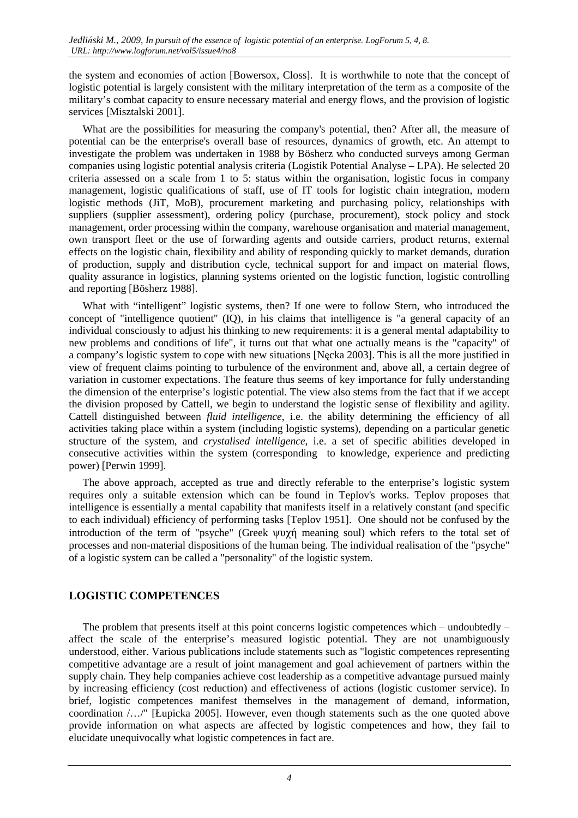the system and economies of action [Bowersox, Closs]. It is worthwhile to note that the concept of logistic potential is largely consistent with the military interpretation of the term as a composite of the military's combat capacity to ensure necessary material and energy flows, and the provision of logistic services [Misztalski 2001].

What are the possibilities for measuring the company's potential, then? After all, the measure of potential can be the enterprise's overall base of resources, dynamics of growth, etc. An attempt to investigate the problem was undertaken in 1988 by Bösherz who conducted surveys among German companies using logistic potential analysis criteria (Logistik Potential Analyse – LPA). He selected 20 criteria assessed on a scale from 1 to 5: status within the organisation, logistic focus in company management, logistic qualifications of staff, use of IT tools for logistic chain integration, modern logistic methods (JiT, MoB), procurement marketing and purchasing policy, relationships with suppliers (supplier assessment), ordering policy (purchase, procurement), stock policy and stock management, order processing within the company, warehouse organisation and material management, own transport fleet or the use of forwarding agents and outside carriers, product returns, external effects on the logistic chain, flexibility and ability of responding quickly to market demands, duration of production, supply and distribution cycle, technical support for and impact on material flows, quality assurance in logistics, planning systems oriented on the logistic function, logistic controlling and reporting [Bösherz 1988].

What with "intelligent" logistic systems, then? If one were to follow Stern, who introduced the concept of "intelligence quotient" (IQ), in his claims that intelligence is "a general capacity of an individual consciously to adjust his thinking to new requirements: it is a general mental adaptability to new problems and conditions of life", it turns out that what one actually means is the "capacity" of a company's logistic system to cope with new situations [Nęcka 2003]. This is all the more justified in view of frequent claims pointing to turbulence of the environment and, above all, a certain degree of variation in customer expectations. The feature thus seems of key importance for fully understanding the dimension of the enterprise's logistic potential. The view also stems from the fact that if we accept the division proposed by Cattell, we begin to understand the logistic sense of flexibility and agility. Cattell distinguished between *fluid intelligence*, i.e. the ability determining the efficiency of all activities taking place within a system (including logistic systems), depending on a particular genetic structure of the system, and *crystalised intelligence*, i.e. a set of specific abilities developed in consecutive activities within the system (corresponding to knowledge, experience and predicting power) [Perwin 1999].

The above approach, accepted as true and directly referable to the enterprise's logistic system requires only a suitable extension which can be found in Teplov's works. Teplov proposes that intelligence is essentially a mental capability that manifests itself in a relatively constant (and specific to each individual) efficiency of performing tasks [Teplov 1951]. One should not be confused by the introduction of the term of "psyche" (Greek ψυχή meaning soul) which refers to the total set of processes and non-material dispositions of the human being. The individual realisation of the "psyche" of a logistic system can be called a "personality" of the logistic system.

## **LOGISTIC COMPETENCES**

The problem that presents itself at this point concerns logistic competences which – undoubtedly – affect the scale of the enterprise's measured logistic potential. They are not unambiguously understood, either. Various publications include statements such as "logistic competences representing competitive advantage are a result of joint management and goal achievement of partners within the supply chain. They help companies achieve cost leadership as a competitive advantage pursued mainly by increasing efficiency (cost reduction) and effectiveness of actions (logistic customer service). In brief, logistic competences manifest themselves in the management of demand, information, coordination /…/" [Łupicka 2005]. However, even though statements such as the one quoted above provide information on what aspects are affected by logistic competences and how, they fail to elucidate unequivocally what logistic competences in fact are.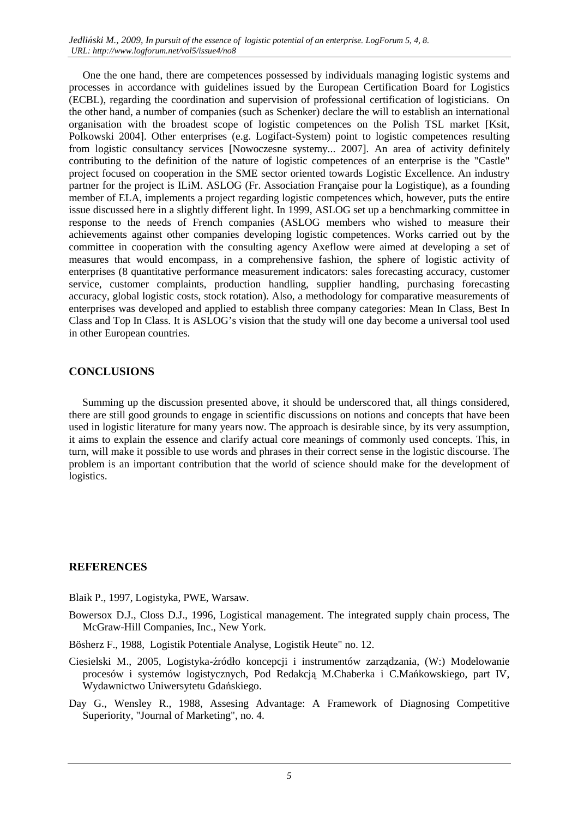One the one hand, there are competences possessed by individuals managing logistic systems and processes in accordance with guidelines issued by the European Certification Board for Logistics (ECBL), regarding the coordination and supervision of professional certification of logisticians. On the other hand, a number of companies (such as Schenker) declare the will to establish an international organisation with the broadest scope of logistic competences on the Polish TSL market [Ksit, Polkowski 2004]. Other enterprises (e.g. Logifact-System) point to logistic competences resulting from logistic consultancy services [Nowoczesne systemy... 2007]. An area of activity definitely contributing to the definition of the nature of logistic competences of an enterprise is the "Castle" project focused on cooperation in the SME sector oriented towards Logistic Excellence. An industry partner for the project is ILiM. ASLOG (Fr. Association Française pour la Logistique), as a founding member of ELA, implements a project regarding logistic competences which, however, puts the entire issue discussed here in a slightly different light. In 1999, ASLOG set up a benchmarking committee in response to the needs of French companies (ASLOG members who wished to measure their achievements against other companies developing logistic competences. Works carried out by the committee in cooperation with the consulting agency Axeflow were aimed at developing a set of measures that would encompass, in a comprehensive fashion, the sphere of logistic activity of enterprises (8 quantitative performance measurement indicators: sales forecasting accuracy, customer service, customer complaints, production handling, supplier handling, purchasing forecasting accuracy, global logistic costs, stock rotation). Also, a methodology for comparative measurements of enterprises was developed and applied to establish three company categories: Mean In Class, Best In Class and Top In Class. It is ASLOG's vision that the study will one day become a universal tool used in other European countries.

#### **CONCLUSIONS**

Summing up the discussion presented above, it should be underscored that, all things considered, there are still good grounds to engage in scientific discussions on notions and concepts that have been used in logistic literature for many years now. The approach is desirable since, by its very assumption, it aims to explain the essence and clarify actual core meanings of commonly used concepts. This, in turn, will make it possible to use words and phrases in their correct sense in the logistic discourse. The problem is an important contribution that the world of science should make for the development of logistics.

### **REFERENCES**

Blaik P., 1997, Logistyka, PWE, Warsaw.

Bowersox D.J., Closs D.J., 1996, Logistical management. The integrated supply chain process, The McGraw-Hill Companies, Inc., New York.

Bösherz F., 1988, Logistik Potentiale Analyse, Logistik Heute" no. 12.

- Ciesielski M., 2005, Logistyka-źródło koncepcji i instrumentów zarządzania, (W:) Modelowanie procesów i systemów logistycznych, Pod Redakcją M.Chaberka i C.Mańkowskiego, part IV, Wydawnictwo Uniwersytetu Gdańskiego.
- Day G., Wensley R., 1988, Assesing Advantage: A Framework of Diagnosing Competitive Superiority, "Journal of Marketing", no. 4.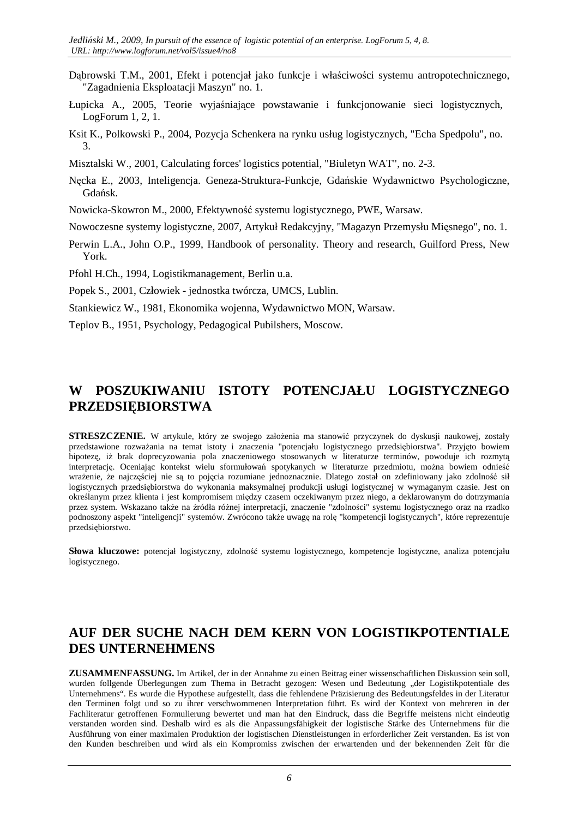- Dąbrowski T.M., 2001, Efekt i potencjał jako funkcje i właściwości systemu antropotechnicznego, "Zagadnienia Eksploatacji Maszyn" no. 1.
- Łupicka A., 2005, Teorie wyjaśniające powstawanie i funkcjonowanie sieci logistycznych, LogForum 1, 2, 1.
- Ksit K., Polkowski P., 2004, Pozycja Schenkera na rynku usług logistycznych, "Echa Spedpolu", no. 3.
- Misztalski W., 2001, Calculating forces' logistics potential, "Biuletyn WAT", no. 2-3.
- Nęcka E., 2003, Inteligencja. Geneza-Struktura-Funkcje, Gdańskie Wydawnictwo Psychologiczne, Gdańsk.
- Nowicka-Skowron M., 2000, Efektywność systemu logistycznego, PWE, Warsaw.
- Nowoczesne systemy logistyczne, 2007, Artykuł Redakcyjny, "Magazyn Przemysłu Mięsnego", no. 1.
- Perwin L.A., John O.P., 1999, Handbook of personality. Theory and research, Guilford Press, New York.

Pfohl H.Ch., 1994, Logistikmanagement, Berlin u.a.

- Popek S., 2001, Człowiek jednostka twórcza, UMCS, Lublin.
- Stankiewicz W., 1981, Ekonomika wojenna, Wydawnictwo MON, Warsaw.
- Teplov B., 1951, Psychology, Pedagogical Pubilshers, Moscow.

# **W POSZUKIWANIU ISTOTY POTENCJAŁU LOGISTYCZNEGO PRZEDSIĘBIORSTWA**

**STRESZCZENIE.** W artykule, który ze swojego założenia ma stanowić przyczynek do dyskusii naukowej, zostały przedstawione rozważania na temat istoty i znaczenia "potencjału logistycznego przedsiębiorstwa". Przyjęto bowiem hipotezę, iż brak doprecyzowania pola znaczeniowego stosowanych w literaturze terminów, powoduje ich rozmytą interpretację. Oceniając kontekst wielu sformułowań spotykanych w literaturze przedmiotu, można bowiem odnieść wrażenie, że najczęściej nie są to pojęcia rozumiane jednoznacznie. Dlatego został on zdefiniowany jako zdolność sił logistycznych przedsiębiorstwa do wykonania maksymalnej produkcji usługi logistycznej w wymaganym czasie. Jest on określanym przez klienta i jest kompromisem między czasem oczekiwanym przez niego, a deklarowanym do dotrzymania przez system. Wskazano także na źródła różnej interpretacji, znaczenie "zdolności" systemu logistycznego oraz na rzadko podnoszony aspekt "inteligencji" systemów. Zwrócono także uwagę na rolę "kompetencji logistycznych", które reprezentuje przedsiębiorstwo.

**Słowa kluczowe:** potencjał logistyczny, zdolność systemu logistycznego, kompetencje logistyczne, analiza potencjału logistycznego.

# **AUF DER SUCHE NACH DEM KERN VON LOGISTIKPOTENTIALE DES UNTERNEHMENS**

**ZUSAMMENFASSUNG.** Im Artikel, der in der Annahme zu einen Beitrag einer wissenschaftlichen Diskussion sein soll, wurden follgende Überlegungen zum Thema in Betracht gezogen: Wesen und Bedeutung "der Logistikpotentiale des Unternehmens". Es wurde die Hypothese aufgestellt, dass die fehlendene Präzisierung des Bedeutungsfeldes in der Literatur den Terminen folgt und so zu ihrer verschwommenen Interpretation führt. Es wird der Kontext von mehreren in der Fachliteratur getroffenen Formulierung bewertet und man hat den Eindruck, dass die Begriffe meistens nicht eindeutig verstanden worden sind. Deshalb wird es als die Anpassungsfähigkeit der logistische Stärke des Unternehmens für die Ausführung von einer maximalen Produktion der logistischen Dienstleistungen in erforderlicher Zeit verstanden. Es ist von den Kunden beschreiben und wird als ein Kompromiss zwischen der erwartenden und der bekennenden Zeit für die